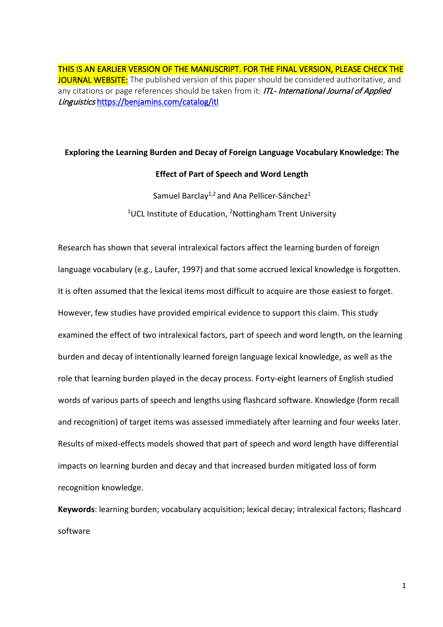THIS IS AN EARLIER VERSION OF THE MANUSCRIPT. FOR THE FINAL VERSION, PLEASE CHECK THE JOURNAL WEBSITE: The published version of this paper should be considered authoritative, and any citations or page references should be taken from it: ITL- International Journal of Applied Linguistics<https://benjamins.com/catalog/itl>

## **Exploring the Learning Burden and Decay of Foreign Language Vocabulary Knowledge: The**

## **Effect of Part of Speech and Word Length**

Samuel Barclay<sup>1,2</sup> and Ana Pellicer-Sánchez<sup>1</sup>  $1$ UCL Institute of Education, <sup>2</sup>Nottingham Trent University

Research has shown that several intralexical factors affect the learning burden of foreign language vocabulary (e.g., Laufer, 1997) and that some accrued lexical knowledge is forgotten. It is often assumed that the lexical items most difficult to acquire are those easiest to forget. However, few studies have provided empirical evidence to support this claim. This study examined the effect of two intralexical factors, part of speech and word length, on the learning burden and decay of intentionally learned foreign language lexical knowledge, as well as the role that learning burden played in the decay process. Forty-eight learners of English studied words of various parts of speech and lengths using flashcard software. Knowledge (form recall and recognition) of target items was assessed immediately after learning and four weeks later. Results of mixed-effects models showed that part of speech and word length have differential impacts on learning burden and decay and that increased burden mitigated loss of form recognition knowledge.

**Keywords**: learning burden; vocabulary acquisition; lexical decay; intralexical factors; flashcard software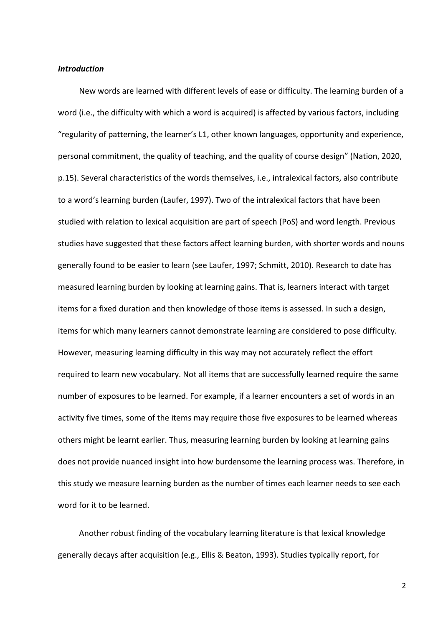#### *Introduction*

New words are learned with different levels of ease or difficulty. The learning burden of a word (i.e., the difficulty with which a word is acquired) is affected by various factors, including "regularity of patterning, the learner's L1, other known languages, opportunity and experience, personal commitment, the quality of teaching, and the quality of course design" (Nation, 2020, p.15). Several characteristics of the words themselves, i.e., intralexical factors, also contribute to a word's learning burden (Laufer, 1997). Two of the intralexical factors that have been studied with relation to lexical acquisition are part of speech (PoS) and word length. Previous studies have suggested that these factors affect learning burden, with shorter words and nouns generally found to be easier to learn (see Laufer, 1997; Schmitt, 2010). Research to date has measured learning burden by looking at learning gains. That is, learners interact with target items for a fixed duration and then knowledge of those items is assessed. In such a design, items for which many learners cannot demonstrate learning are considered to pose difficulty. However, measuring learning difficulty in this way may not accurately reflect the effort required to learn new vocabulary. Not all items that are successfully learned require the same number of exposures to be learned. For example, if a learner encounters a set of words in an activity five times, some of the items may require those five exposures to be learned whereas others might be learnt earlier. Thus, measuring learning burden by looking at learning gains does not provide nuanced insight into how burdensome the learning process was. Therefore, in this study we measure learning burden as the number of times each learner needs to see each word for it to be learned.

Another robust finding of the vocabulary learning literature is that lexical knowledge generally decays after acquisition (e.g., Ellis & Beaton, 1993). Studies typically report, for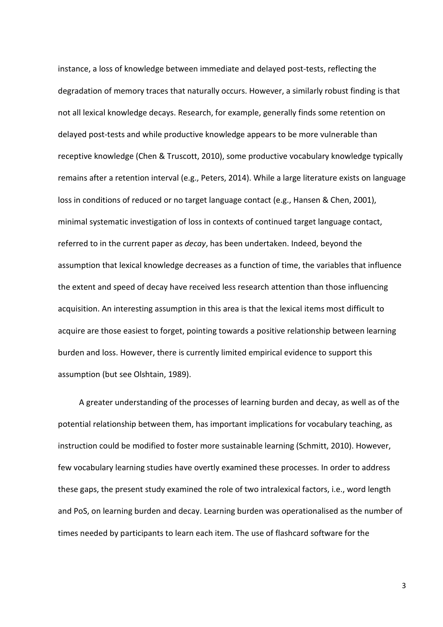instance, a loss of knowledge between immediate and delayed post-tests, reflecting the degradation of memory traces that naturally occurs. However, a similarly robust finding is that not all lexical knowledge decays. Research, for example, generally finds some retention on delayed post-tests and while productive knowledge appears to be more vulnerable than receptive knowledge (Chen & Truscott, 2010), some productive vocabulary knowledge typically remains after a retention interval (e.g., Peters, 2014). While a large literature exists on language loss in conditions of reduced or no target language contact (e.g., Hansen & Chen, 2001), minimal systematic investigation of loss in contexts of continued target language contact, referred to in the current paper as *decay*, has been undertaken. Indeed, beyond the assumption that lexical knowledge decreases as a function of time, the variables that influence the extent and speed of decay have received less research attention than those influencing acquisition. An interesting assumption in this area is that the lexical items most difficult to acquire are those easiest to forget, pointing towards a positive relationship between learning burden and loss. However, there is currently limited empirical evidence to support this assumption (but see Olshtain, 1989).

A greater understanding of the processes of learning burden and decay, as well as of the potential relationship between them, has important implications for vocabulary teaching, as instruction could be modified to foster more sustainable learning (Schmitt, 2010). However, few vocabulary learning studies have overtly examined these processes. In order to address these gaps, the present study examined the role of two intralexical factors, i.e., word length and PoS, on learning burden and decay. Learning burden was operationalised as the number of times needed by participants to learn each item. The use of flashcard software for the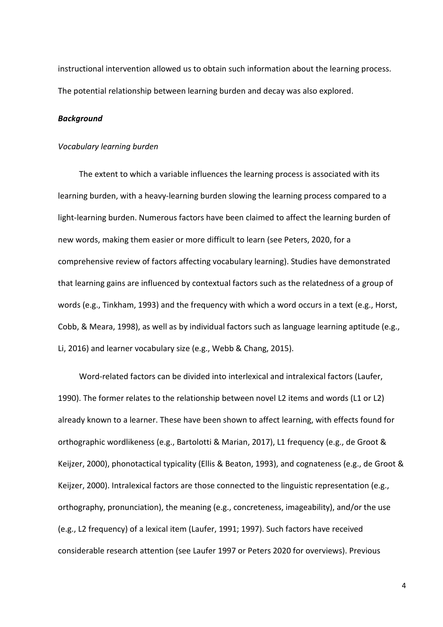instructional intervention allowed us to obtain such information about the learning process. The potential relationship between learning burden and decay was also explored.

## *Background*

#### *Vocabulary learning burden*

The extent to which a variable influences the learning process is associated with its learning burden, with a heavy-learning burden slowing the learning process compared to a light-learning burden. Numerous factors have been claimed to affect the learning burden of new words, making them easier or more difficult to learn (see Peters, 2020, for a comprehensive review of factors affecting vocabulary learning). Studies have demonstrated that learning gains are influenced by contextual factors such as the relatedness of a group of words (e.g., Tinkham, 1993) and the frequency with which a word occurs in a text (e.g., Horst, Cobb, & Meara, 1998), as well as by individual factors such as language learning aptitude (e.g., Li, 2016) and learner vocabulary size (e.g., Webb & Chang, 2015).

Word-related factors can be divided into interlexical and intralexical factors (Laufer, 1990). The former relates to the relationship between novel L2 items and words (L1 or L2) already known to a learner. These have been shown to affect learning, with effects found for orthographic wordlikeness (e.g., Bartolotti & Marian, 2017), L1 frequency (e.g., de Groot & Keijzer, 2000), phonotactical typicality (Ellis & Beaton, 1993), and cognateness (e.g., de Groot & Keijzer, 2000). Intralexical factors are those connected to the linguistic representation (e.g., orthography, pronunciation), the meaning (e.g., concreteness, imageability), and/or the use (e.g., L2 frequency) of a lexical item (Laufer, 1991; 1997). Such factors have received considerable research attention (see Laufer 1997 or Peters 2020 for overviews). Previous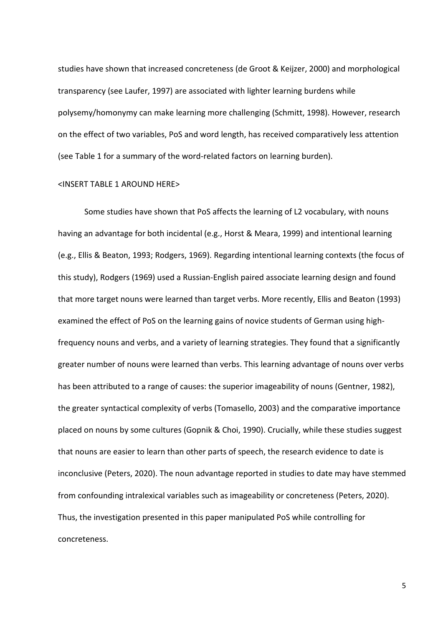studies have shown that increased concreteness (de Groot & Keijzer, 2000) and morphological transparency (see Laufer, 1997) are associated with lighter learning burdens while polysemy/homonymy can make learning more challenging (Schmitt, 1998). However, research on the effect of two variables, PoS and word length, has received comparatively less attention (see Table 1 for a summary of the word-related factors on learning burden).

#### <INSERT TABLE 1 AROUND HERE>

Some studies have shown that PoS affects the learning of L2 vocabulary, with nouns having an advantage for both incidental (e.g., Horst & Meara, 1999) and intentional learning (e.g., Ellis & Beaton, 1993; Rodgers, 1969). Regarding intentional learning contexts (the focus of this study), Rodgers (1969) used a Russian-English paired associate learning design and found that more target nouns were learned than target verbs. More recently, Ellis and Beaton (1993) examined the effect of PoS on the learning gains of novice students of German using highfrequency nouns and verbs, and a variety of learning strategies. They found that a significantly greater number of nouns were learned than verbs. This learning advantage of nouns over verbs has been attributed to a range of causes: the superior imageability of nouns (Gentner, 1982), the greater syntactical complexity of verbs (Tomasello, 2003) and the comparative importance placed on nouns by some cultures (Gopnik & Choi, 1990). Crucially, while these studies suggest that nouns are easier to learn than other parts of speech, the research evidence to date is inconclusive (Peters, 2020). The noun advantage reported in studies to date may have stemmed from confounding intralexical variables such as imageability or concreteness (Peters, 2020). Thus, the investigation presented in this paper manipulated PoS while controlling for concreteness.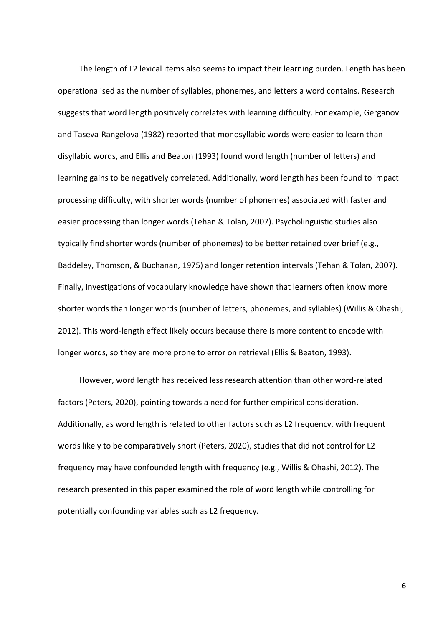The length of L2 lexical items also seems to impact their learning burden. Length has been operationalised as the number of syllables, phonemes, and letters a word contains. Research suggests that word length positively correlates with learning difficulty. For example, Gerganov and Taseva-Rangelova (1982) reported that monosyllabic words were easier to learn than disyllabic words, and Ellis and Beaton (1993) found word length (number of letters) and learning gains to be negatively correlated. Additionally, word length has been found to impact processing difficulty, with shorter words (number of phonemes) associated with faster and easier processing than longer words (Tehan & Tolan, 2007). Psycholinguistic studies also typically find shorter words (number of phonemes) to be better retained over brief (e.g., Baddeley, Thomson, & Buchanan, 1975) and longer retention intervals (Tehan & Tolan, 2007). Finally, investigations of vocabulary knowledge have shown that learners often know more shorter words than longer words (number of letters, phonemes, and syllables) (Willis & Ohashi, 2012). This word-length effect likely occurs because there is more content to encode with longer words, so they are more prone to error on retrieval (Ellis & Beaton, 1993).

However, word length has received less research attention than other word-related factors (Peters, 2020), pointing towards a need for further empirical consideration. Additionally, as word length is related to other factors such as L2 frequency, with frequent words likely to be comparatively short (Peters, 2020), studies that did not control for L2 frequency may have confounded length with frequency (e.g., Willis & Ohashi, 2012). The research presented in this paper examined the role of word length while controlling for potentially confounding variables such as L2 frequency.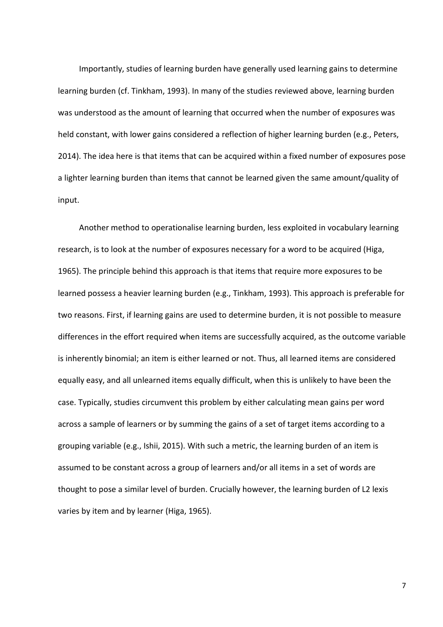Importantly, studies of learning burden have generally used learning gains to determine learning burden (cf. Tinkham, 1993). In many of the studies reviewed above, learning burden was understood as the amount of learning that occurred when the number of exposures was held constant, with lower gains considered a reflection of higher learning burden (e.g., Peters, 2014). The idea here is that items that can be acquired within a fixed number of exposures pose a lighter learning burden than items that cannot be learned given the same amount/quality of input.

Another method to operationalise learning burden, less exploited in vocabulary learning research, is to look at the number of exposures necessary for a word to be acquired (Higa, 1965). The principle behind this approach is that items that require more exposures to be learned possess a heavier learning burden (e.g., Tinkham, 1993). This approach is preferable for two reasons. First, if learning gains are used to determine burden, it is not possible to measure differences in the effort required when items are successfully acquired, as the outcome variable is inherently binomial; an item is either learned or not. Thus, all learned items are considered equally easy, and all unlearned items equally difficult, when this is unlikely to have been the case. Typically, studies circumvent this problem by either calculating mean gains per word across a sample of learners or by summing the gains of a set of target items according to a grouping variable (e.g., Ishii, 2015). With such a metric, the learning burden of an item is assumed to be constant across a group of learners and/or all items in a set of words are thought to pose a similar level of burden. Crucially however, the learning burden of L2 lexis varies by item and by learner (Higa, 1965).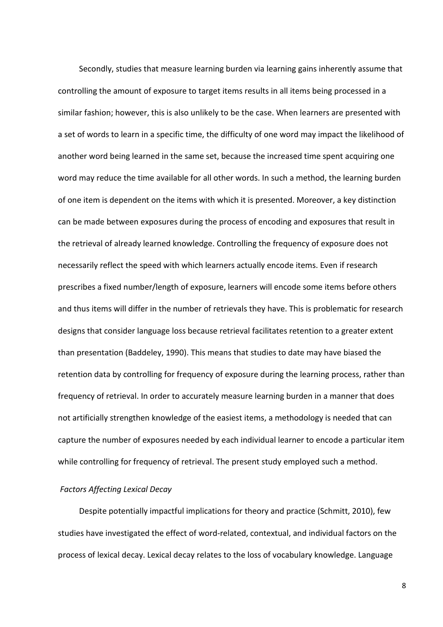Secondly, studies that measure learning burden via learning gains inherently assume that controlling the amount of exposure to target items results in all items being processed in a similar fashion; however, this is also unlikely to be the case. When learners are presented with a set of words to learn in a specific time, the difficulty of one word may impact the likelihood of another word being learned in the same set, because the increased time spent acquiring one word may reduce the time available for all other words. In such a method, the learning burden of one item is dependent on the items with which it is presented. Moreover, a key distinction can be made between exposures during the process of encoding and exposures that result in the retrieval of already learned knowledge. Controlling the frequency of exposure does not necessarily reflect the speed with which learners actually encode items. Even if research prescribes a fixed number/length of exposure, learners will encode some items before others and thus items will differ in the number of retrievals they have. This is problematic for research designs that consider language loss because retrieval facilitates retention to a greater extent than presentation (Baddeley, 1990). This means that studies to date may have biased the retention data by controlling for frequency of exposure during the learning process, rather than frequency of retrieval. In order to accurately measure learning burden in a manner that does not artificially strengthen knowledge of the easiest items, a methodology is needed that can capture the number of exposures needed by each individual learner to encode a particular item while controlling for frequency of retrieval. The present study employed such a method.

## *Factors Affecting Lexical Decay*

Despite potentially impactful implications for theory and practice (Schmitt, 2010), few studies have investigated the effect of word-related, contextual, and individual factors on the process of lexical decay. Lexical decay relates to the loss of vocabulary knowledge. Language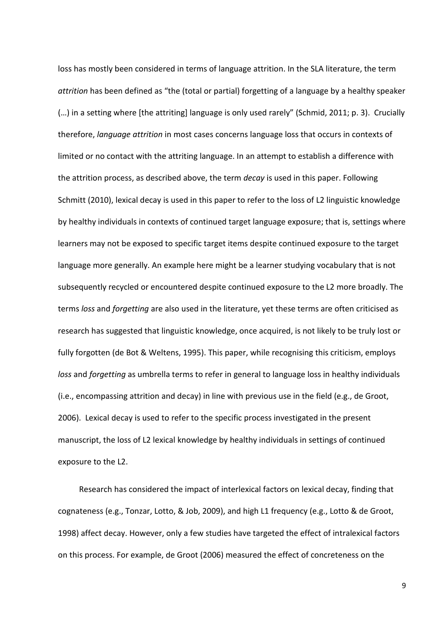loss has mostly been considered in terms of language attrition. In the SLA literature, the term *attrition* has been defined as "the (total or partial) forgetting of a language by a healthy speaker (…) in a setting where [the attriting] language is only used rarely" (Schmid, 2011; p. 3). Crucially therefore, *language attrition* in most cases concerns language loss that occurs in contexts of limited or no contact with the attriting language. In an attempt to establish a difference with the attrition process, as described above, the term *decay* is used in this paper. Following Schmitt (2010), lexical decay is used in this paper to refer to the loss of L2 linguistic knowledge by healthy individuals in contexts of continued target language exposure; that is, settings where learners may not be exposed to specific target items despite continued exposure to the target language more generally. An example here might be a learner studying vocabulary that is not subsequently recycled or encountered despite continued exposure to the L2 more broadly. The terms *loss* and *forgetting* are also used in the literature, yet these terms are often criticised as research has suggested that linguistic knowledge, once acquired, is not likely to be truly lost or fully forgotten (de Bot & Weltens, 1995). This paper, while recognising this criticism, employs *loss* and *forgetting* as umbrella terms to refer in general to language loss in healthy individuals (i.e., encompassing attrition and decay) in line with previous use in the field (e.g., de Groot, 2006). Lexical decay is used to refer to the specific process investigated in the present manuscript, the loss of L2 lexical knowledge by healthy individuals in settings of continued exposure to the L2.

Research has considered the impact of interlexical factors on lexical decay, finding that cognateness (e.g., Tonzar, Lotto, & Job, 2009), and high L1 frequency (e.g., Lotto & de Groot, 1998) affect decay. However, only a few studies have targeted the effect of intralexical factors on this process. For example, de Groot (2006) measured the effect of concreteness on the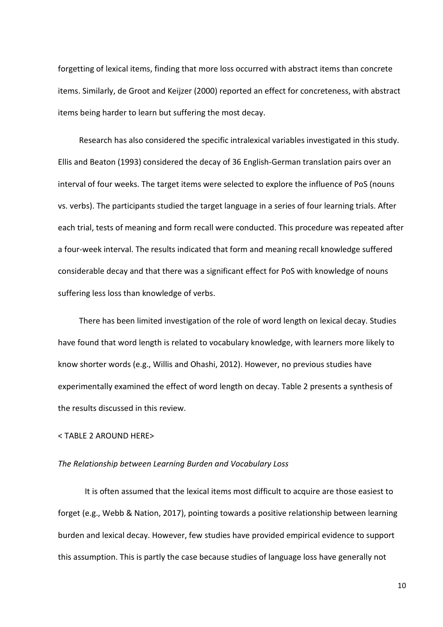forgetting of lexical items, finding that more loss occurred with abstract items than concrete items. Similarly, de Groot and Keijzer (2000) reported an effect for concreteness, with abstract items being harder to learn but suffering the most decay.

Research has also considered the specific intralexical variables investigated in this study. Ellis and Beaton (1993) considered the decay of 36 English-German translation pairs over an interval of four weeks. The target items were selected to explore the influence of PoS (nouns vs. verbs). The participants studied the target language in a series of four learning trials. After each trial, tests of meaning and form recall were conducted. This procedure was repeated after a four-week interval. The results indicated that form and meaning recall knowledge suffered considerable decay and that there was a significant effect for PoS with knowledge of nouns suffering less loss than knowledge of verbs.

There has been limited investigation of the role of word length on lexical decay. Studies have found that word length is related to vocabulary knowledge, with learners more likely to know shorter words (e.g., Willis and Ohashi, 2012). However, no previous studies have experimentally examined the effect of word length on decay. Table 2 presents a synthesis of the results discussed in this review.

## < TABLE 2 AROUND HERE>

#### *The Relationship between Learning Burden and Vocabulary Loss*

It is often assumed that the lexical items most difficult to acquire are those easiest to forget (e.g., Webb & Nation, 2017), pointing towards a positive relationship between learning burden and lexical decay. However, few studies have provided empirical evidence to support this assumption. This is partly the case because studies of language loss have generally not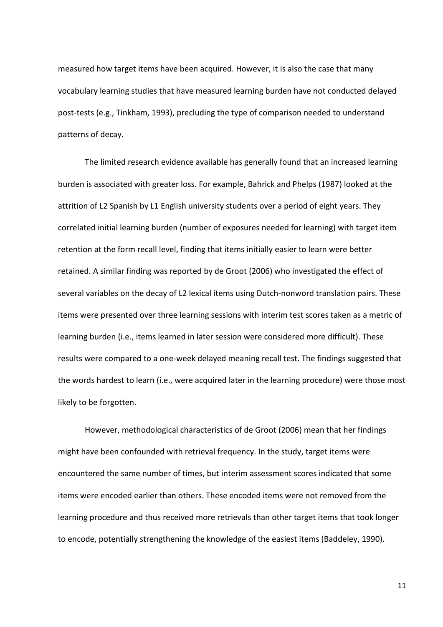measured how target items have been acquired. However, it is also the case that many vocabulary learning studies that have measured learning burden have not conducted delayed post-tests (e.g., Tinkham, 1993), precluding the type of comparison needed to understand patterns of decay.

The limited research evidence available has generally found that an increased learning burden is associated with greater loss. For example, Bahrick and Phelps (1987) looked at the attrition of L2 Spanish by L1 English university students over a period of eight years. They correlated initial learning burden (number of exposures needed for learning) with target item retention at the form recall level, finding that items initially easier to learn were better retained. A similar finding was reported by de Groot (2006) who investigated the effect of several variables on the decay of L2 lexical items using Dutch-nonword translation pairs. These items were presented over three learning sessions with interim test scores taken as a metric of learning burden (i.e., items learned in later session were considered more difficult). These results were compared to a one-week delayed meaning recall test. The findings suggested that the words hardest to learn (i.e., were acquired later in the learning procedure) were those most likely to be forgotten.

However, methodological characteristics of de Groot (2006) mean that her findings might have been confounded with retrieval frequency. In the study, target items were encountered the same number of times, but interim assessment scores indicated that some items were encoded earlier than others. These encoded items were not removed from the learning procedure and thus received more retrievals than other target items that took longer to encode, potentially strengthening the knowledge of the easiest items (Baddeley, 1990).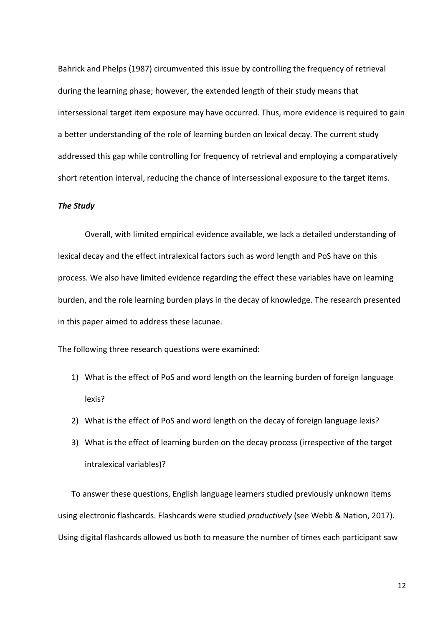Bahrick and Phelps (1987) circumvented this issue by controlling the frequency of retrieval during the learning phase; however, the extended length of their study means that intersessional target item exposure may have occurred. Thus, more evidence is required to gain a better understanding of the role of learning burden on lexical decay. The current study addressed this gap while controlling for frequency of retrieval and employing a comparatively short retention interval, reducing the chance of intersessional exposure to the target items.

#### *The Study*

Overall, with limited empirical evidence available, we lack a detailed understanding of lexical decay and the effect intralexical factors such as word length and PoS have on this process. We also have limited evidence regarding the effect these variables have on learning burden, and the role learning burden plays in the decay of knowledge. The research presented in this paper aimed to address these lacunae.

The following three research questions were examined:

- 1) What is the effect of PoS and word length on the learning burden of foreign language lexis?
- 2) What is the effect of PoS and word length on the decay of foreign language lexis?
- 3) What is the effect of learning burden on the decay process (irrespective of the target intralexical variables)?

To answer these questions, English language learners studied previously unknown items using electronic flashcards. Flashcards were studied *productively* (see Webb & Nation, 2017). Using digital flashcards allowed us both to measure the number of times each participant saw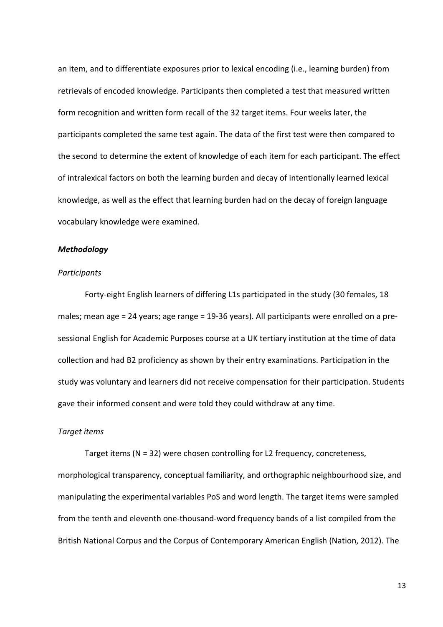an item, and to differentiate exposures prior to lexical encoding (i.e., learning burden) from retrievals of encoded knowledge. Participants then completed a test that measured written form recognition and written form recall of the 32 target items. Four weeks later, the participants completed the same test again. The data of the first test were then compared to the second to determine the extent of knowledge of each item for each participant. The effect of intralexical factors on both the learning burden and decay of intentionally learned lexical knowledge, as well as the effect that learning burden had on the decay of foreign language vocabulary knowledge were examined.

## *Methodology*

#### *Participants*

Forty-eight English learners of differing L1s participated in the study (30 females, 18 males; mean age = 24 years; age range = 19-36 years). All participants were enrolled on a presessional English for Academic Purposes course at a UK tertiary institution at the time of data collection and had B2 proficiency as shown by their entry examinations. Participation in the study was voluntary and learners did not receive compensation for their participation. Students gave their informed consent and were told they could withdraw at any time.

### *Target items*

Target items (N = 32) were chosen controlling for L2 frequency, concreteness, morphological transparency, conceptual familiarity, and orthographic neighbourhood size, and manipulating the experimental variables PoS and word length. The target items were sampled from the tenth and eleventh one-thousand-word frequency bands of a list compiled from the British National Corpus and the Corpus of Contemporary American English (Nation, 2012). The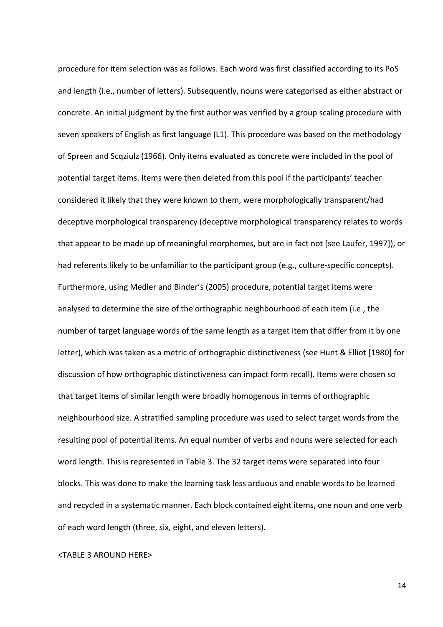procedure for item selection was as follows. Each word was first classified according to its PoS and length (i.e., number of letters). Subsequently, nouns were categorised as either abstract or concrete. An initial judgment by the first author was verified by a group scaling procedure with seven speakers of English as first language (L1). This procedure was based on the methodology of Spreen and Scqziulz (1966). Only items evaluated as concrete were included in the pool of potential target items. Items were then deleted from this pool if the participants' teacher considered it likely that they were known to them, were morphologically transparent/had deceptive morphological transparency (deceptive morphological transparency relates to words that appear to be made up of meaningful morphemes, but are in fact not [see Laufer, 1997]), or had referents likely to be unfamiliar to the participant group (e.g., culture-specific concepts). Furthermore, using Medler and Binder's (2005) procedure, potential target items were analysed to determine the size of the orthographic neighbourhood of each item (i.e., the number of target language words of the same length as a target item that differ from it by one letter), which was taken as a metric of orthographic distinctiveness (see Hunt & Elliot [1980] for discussion of how orthographic distinctiveness can impact form recall). Items were chosen so that target items of similar length were broadly homogenous in terms of orthographic neighbourhood size. A stratified sampling procedure was used to select target words from the resulting pool of potential items. An equal number of verbs and nouns were selected for each word length. This is represented in Table 3. The 32 target items were separated into four blocks. This was done to make the learning task less arduous and enable words to be learned and recycled in a systematic manner. Each block contained eight items, one noun and one verb of each word length (three, six, eight, and eleven letters).

#### <TABLE 3 AROUND HERE>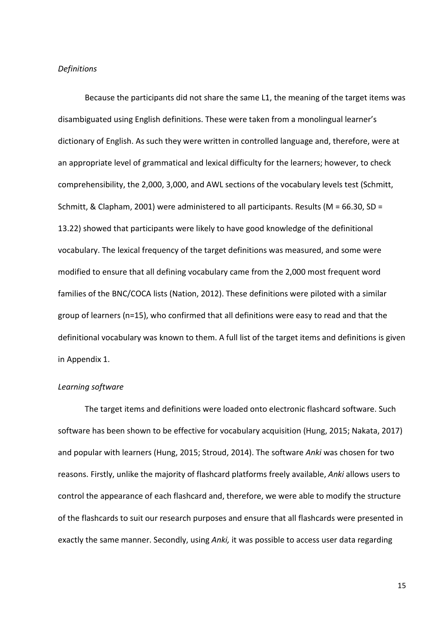#### *Definitions*

Because the participants did not share the same L1, the meaning of the target items was disambiguated using English definitions. These were taken from a monolingual learner's dictionary of English. As such they were written in controlled language and, therefore, were at an appropriate level of grammatical and lexical difficulty for the learners; however, to check comprehensibility, the 2,000, 3,000, and AWL sections of the vocabulary levels test (Schmitt, Schmitt, & Clapham, 2001) were administered to all participants. Results (M = 66.30, SD = 13.22) showed that participants were likely to have good knowledge of the definitional vocabulary. The lexical frequency of the target definitions was measured, and some were modified to ensure that all defining vocabulary came from the 2,000 most frequent word families of the BNC/COCA lists (Nation, 2012). These definitions were piloted with a similar group of learners (n=15), who confirmed that all definitions were easy to read and that the definitional vocabulary was known to them. A full list of the target items and definitions is given in Appendix 1.

#### *Learning software*

The target items and definitions were loaded onto electronic flashcard software. Such software has been shown to be effective for vocabulary acquisition (Hung, 2015; Nakata, 2017) and popular with learners (Hung, 2015; Stroud, 2014). The software *Anki* was chosen for two reasons. Firstly, unlike the majority of flashcard platforms freely available, *Anki* allows users to control the appearance of each flashcard and, therefore, we were able to modify the structure of the flashcards to suit our research purposes and ensure that all flashcards were presented in exactly the same manner. Secondly, using *Anki,* it was possible to access user data regarding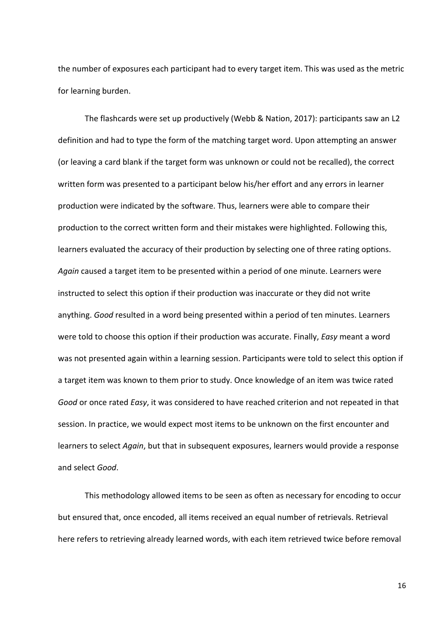the number of exposures each participant had to every target item. This was used as the metric for learning burden.

The flashcards were set up productively (Webb & Nation, 2017): participants saw an L2 definition and had to type the form of the matching target word. Upon attempting an answer (or leaving a card blank if the target form was unknown or could not be recalled), the correct written form was presented to a participant below his/her effort and any errors in learner production were indicated by the software. Thus, learners were able to compare their production to the correct written form and their mistakes were highlighted. Following this, learners evaluated the accuracy of their production by selecting one of three rating options. *Again* caused a target item to be presented within a period of one minute. Learners were instructed to select this option if their production was inaccurate or they did not write anything. *Good* resulted in a word being presented within a period of ten minutes. Learners were told to choose this option if their production was accurate. Finally, *Easy* meant a word was not presented again within a learning session. Participants were told to select this option if a target item was known to them prior to study. Once knowledge of an item was twice rated *Good* or once rated *Easy*, it was considered to have reached criterion and not repeated in that session. In practice, we would expect most items to be unknown on the first encounter and learners to select *Again*, but that in subsequent exposures, learners would provide a response and select *Good*.

This methodology allowed items to be seen as often as necessary for encoding to occur but ensured that, once encoded, all items received an equal number of retrievals. Retrieval here refers to retrieving already learned words, with each item retrieved twice before removal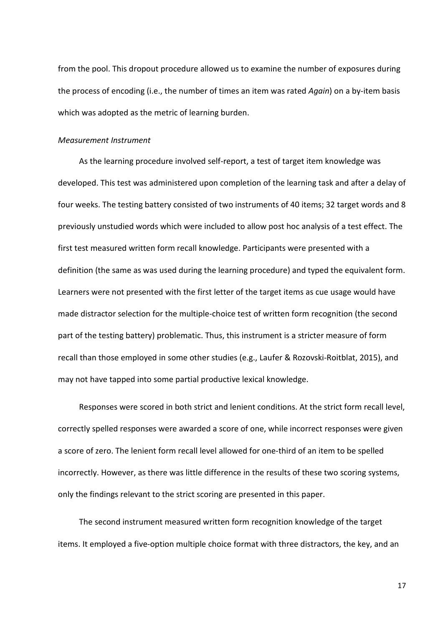from the pool. This dropout procedure allowed us to examine the number of exposures during the process of encoding (i.e., the number of times an item was rated *Again*) on a by-item basis which was adopted as the metric of learning burden.

#### *Measurement Instrument*

As the learning procedure involved self-report, a test of target item knowledge was developed. This test was administered upon completion of the learning task and after a delay of four weeks. The testing battery consisted of two instruments of 40 items; 32 target words and 8 previously unstudied words which were included to allow post hoc analysis of a test effect. The first test measured written form recall knowledge. Participants were presented with a definition (the same as was used during the learning procedure) and typed the equivalent form. Learners were not presented with the first letter of the target items as cue usage would have made distractor selection for the multiple-choice test of written form recognition (the second part of the testing battery) problematic. Thus, this instrument is a stricter measure of form recall than those employed in some other studies (e.g., Laufer & Rozovski-Roitblat, 2015), and may not have tapped into some partial productive lexical knowledge.

Responses were scored in both strict and lenient conditions. At the strict form recall level, correctly spelled responses were awarded a score of one, while incorrect responses were given a score of zero. The lenient form recall level allowed for one-third of an item to be spelled incorrectly. However, as there was little difference in the results of these two scoring systems, only the findings relevant to the strict scoring are presented in this paper.

The second instrument measured written form recognition knowledge of the target items. It employed a five-option multiple choice format with three distractors, the key, and an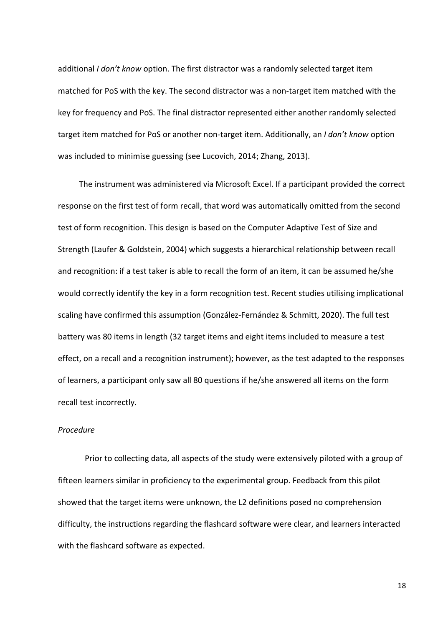additional *I don't know* option. The first distractor was a randomly selected target item matched for PoS with the key. The second distractor was a non-target item matched with the key for frequency and PoS. The final distractor represented either another randomly selected target item matched for PoS or another non-target item. Additionally, an *I don't know* option was included to minimise guessing (see Lucovich, 2014; Zhang, 2013).

The instrument was administered via Microsoft Excel. If a participant provided the correct response on the first test of form recall, that word was automatically omitted from the second test of form recognition. This design is based on the Computer Adaptive Test of Size and Strength (Laufer & Goldstein, 2004) which suggests a hierarchical relationship between recall and recognition: if a test taker is able to recall the form of an item, it can be assumed he/she would correctly identify the key in a form recognition test. Recent studies utilising implicational scaling have confirmed this assumption (González-Fernández & Schmitt, 2020). The full test battery was 80 items in length (32 target items and eight items included to measure a test effect, on a recall and a recognition instrument); however, as the test adapted to the responses of learners, a participant only saw all 80 questions if he/she answered all items on the form recall test incorrectly.

## *Procedure*

Prior to collecting data, all aspects of the study were extensively piloted with a group of fifteen learners similar in proficiency to the experimental group. Feedback from this pilot showed that the target items were unknown, the L2 definitions posed no comprehension difficulty, the instructions regarding the flashcard software were clear, and learners interacted with the flashcard software as expected.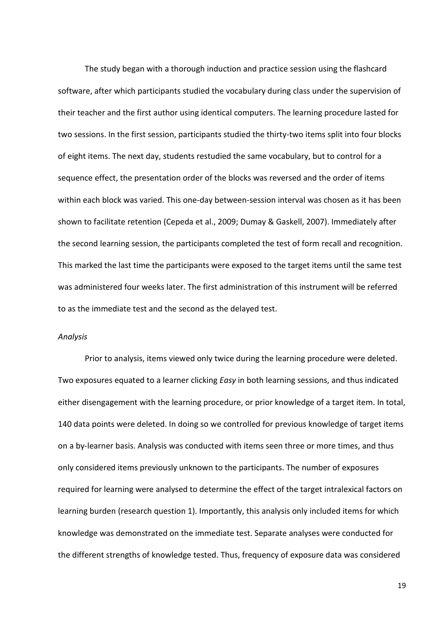The study began with a thorough induction and practice session using the flashcard software, after which participants studied the vocabulary during class under the supervision of their teacher and the first author using identical computers. The learning procedure lasted for two sessions. In the first session, participants studied the thirty-two items split into four blocks of eight items. The next day, students restudied the same vocabulary, but to control for a sequence effect, the presentation order of the blocks was reversed and the order of items within each block was varied. This one-day between-session interval was chosen as it has been shown to facilitate retention (Cepeda et al., 2009; Dumay & Gaskell, 2007). Immediately after the second learning session, the participants completed the test of form recall and recognition. This marked the last time the participants were exposed to the target items until the same test was administered four weeks later. The first administration of this instrument will be referred to as the immediate test and the second as the delayed test.

#### *Analysis*

Prior to analysis, items viewed only twice during the learning procedure were deleted. Two exposures equated to a learner clicking *Easy* in both learning sessions, and thus indicated either disengagement with the learning procedure, or prior knowledge of a target item. In total, 140 data points were deleted. In doing so we controlled for previous knowledge of target items on a by-learner basis. Analysis was conducted with items seen three or more times, and thus only considered items previously unknown to the participants. The number of exposures required for learning were analysed to determine the effect of the target intralexical factors on learning burden (research question 1). Importantly, this analysis only included items for which knowledge was demonstrated on the immediate test. Separate analyses were conducted for the different strengths of knowledge tested. Thus, frequency of exposure data was considered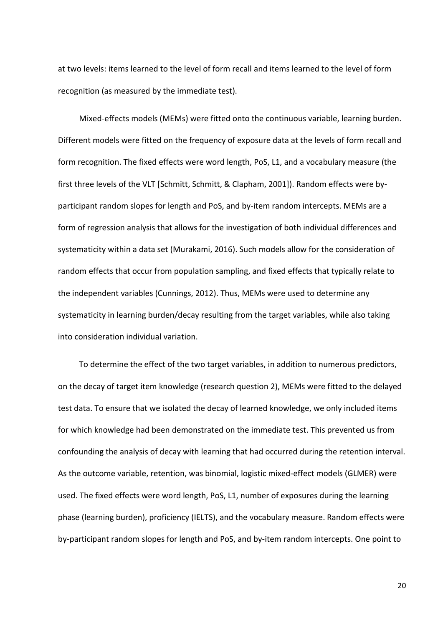at two levels: items learned to the level of form recall and items learned to the level of form recognition (as measured by the immediate test).

Mixed-effects models (MEMs) were fitted onto the continuous variable, learning burden. Different models were fitted on the frequency of exposure data at the levels of form recall and form recognition. The fixed effects were word length, PoS, L1, and a vocabulary measure (the first three levels of the VLT [Schmitt, Schmitt, & Clapham, 2001]). Random effects were byparticipant random slopes for length and PoS, and by-item random intercepts. MEMs are a form of regression analysis that allows for the investigation of both individual differences and systematicity within a data set (Murakami, 2016). Such models allow for the consideration of random effects that occur from population sampling, and fixed effects that typically relate to the independent variables (Cunnings, 2012). Thus, MEMs were used to determine any systematicity in learning burden/decay resulting from the target variables, while also taking into consideration individual variation.

To determine the effect of the two target variables, in addition to numerous predictors, on the decay of target item knowledge (research question 2), MEMs were fitted to the delayed test data. To ensure that we isolated the decay of learned knowledge, we only included items for which knowledge had been demonstrated on the immediate test. This prevented us from confounding the analysis of decay with learning that had occurred during the retention interval. As the outcome variable, retention, was binomial, logistic mixed-effect models (GLMER) were used. The fixed effects were word length, PoS, L1, number of exposures during the learning phase (learning burden), proficiency (IELTS), and the vocabulary measure. Random effects were by-participant random slopes for length and PoS, and by-item random intercepts. One point to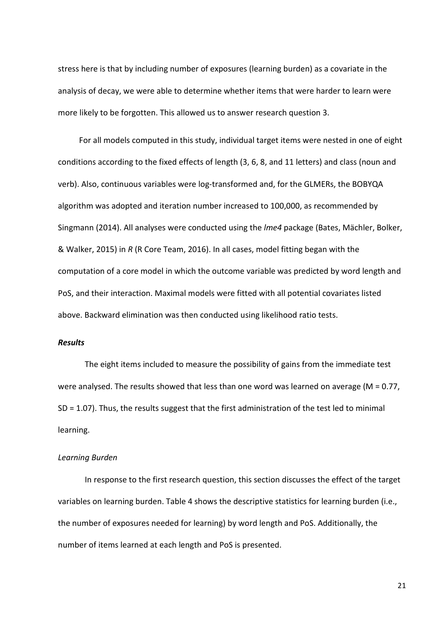stress here is that by including number of exposures (learning burden) as a covariate in the analysis of decay, we were able to determine whether items that were harder to learn were more likely to be forgotten. This allowed us to answer research question 3.

For all models computed in this study, individual target items were nested in one of eight conditions according to the fixed effects of length (3, 6, 8, and 11 letters) and class (noun and verb). Also, continuous variables were log-transformed and, for the GLMERs, the BOBYQA algorithm was adopted and iteration number increased to 100,000, as recommended by Singmann (2014). All analyses were conducted using the *lme4* package (Bates, Mächler, Bolker, & Walker, 2015) in *R* (R Core Team, 2016). In all cases, model fitting began with the computation of a core model in which the outcome variable was predicted by word length and PoS, and their interaction. Maximal models were fitted with all potential covariates listed above. Backward elimination was then conducted using likelihood ratio tests.

### *Results*

The eight items included to measure the possibility of gains from the immediate test were analysed. The results showed that less than one word was learned on average (M = 0.77, SD = 1.07). Thus, the results suggest that the first administration of the test led to minimal learning.

#### *Learning Burden*

In response to the first research question, this section discusses the effect of the target variables on learning burden. Table 4 shows the descriptive statistics for learning burden (i.e., the number of exposures needed for learning) by word length and PoS. Additionally, the number of items learned at each length and PoS is presented.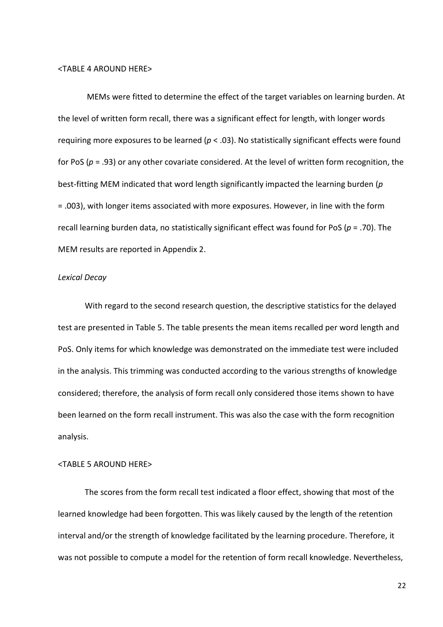#### <TABLE 4 AROUND HERE>

MEMs were fitted to determine the effect of the target variables on learning burden. At the level of written form recall, there was a significant effect for length, with longer words requiring more exposures to be learned (*p* < .03). No statistically significant effects were found for PoS (*p* = .93) or any other covariate considered. At the level of written form recognition, the best-fitting MEM indicated that word length significantly impacted the learning burden (*p*  = .003), with longer items associated with more exposures. However, in line with the form recall learning burden data, no statistically significant effect was found for PoS (*p* = .70). The MEM results are reported in Appendix 2.

#### *Lexical Decay*

With regard to the second research question, the descriptive statistics for the delayed test are presented in Table 5. The table presents the mean items recalled per word length and PoS. Only items for which knowledge was demonstrated on the immediate test were included in the analysis. This trimming was conducted according to the various strengths of knowledge considered; therefore, the analysis of form recall only considered those items shown to have been learned on the form recall instrument. This was also the case with the form recognition analysis.

#### <TABLE 5 AROUND HERE>

The scores from the form recall test indicated a floor effect, showing that most of the learned knowledge had been forgotten. This was likely caused by the length of the retention interval and/or the strength of knowledge facilitated by the learning procedure. Therefore, it was not possible to compute a model for the retention of form recall knowledge. Nevertheless,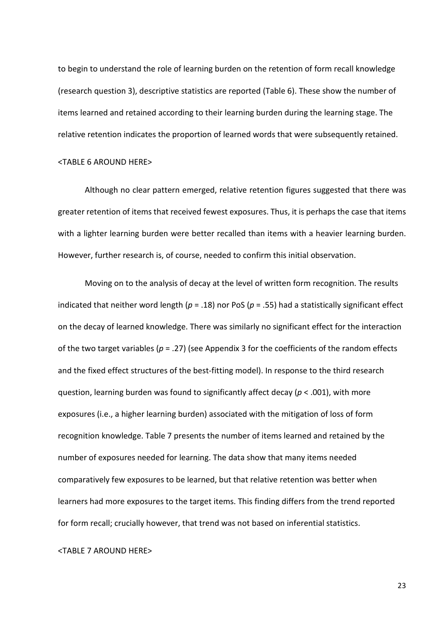to begin to understand the role of learning burden on the retention of form recall knowledge (research question 3), descriptive statistics are reported (Table 6). These show the number of items learned and retained according to their learning burden during the learning stage. The relative retention indicates the proportion of learned words that were subsequently retained.

### <TABLE 6 AROUND HERE>

Although no clear pattern emerged, relative retention figures suggested that there was greater retention of items that received fewest exposures. Thus, it is perhaps the case that items with a lighter learning burden were better recalled than items with a heavier learning burden. However, further research is, of course, needed to confirm this initial observation.

Moving on to the analysis of decay at the level of written form recognition. The results indicated that neither word length (*p* = .18) nor PoS (*p* = .55) had a statistically significant effect on the decay of learned knowledge. There was similarly no significant effect for the interaction of the two target variables (*p* = .27) (see Appendix 3 for the coefficients of the random effects and the fixed effect structures of the best-fitting model). In response to the third research question, learning burden was found to significantly affect decay (*p* < .001), with more exposures (i.e., a higher learning burden) associated with the mitigation of loss of form recognition knowledge. Table 7 presents the number of items learned and retained by the number of exposures needed for learning. The data show that many items needed comparatively few exposures to be learned, but that relative retention was better when learners had more exposures to the target items. This finding differs from the trend reported for form recall; crucially however, that trend was not based on inferential statistics.

## <TABLE 7 AROUND HERE>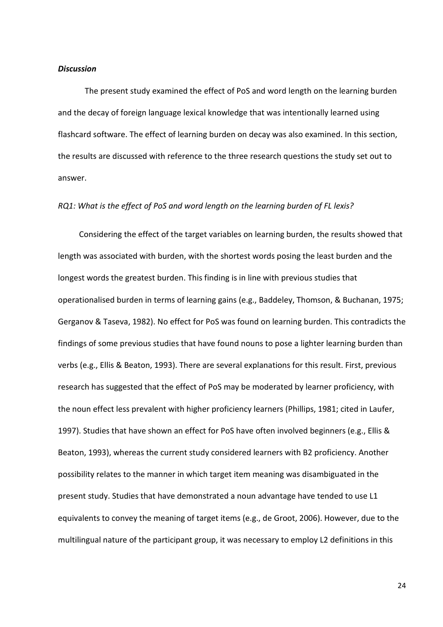#### *Discussion*

The present study examined the effect of PoS and word length on the learning burden and the decay of foreign language lexical knowledge that was intentionally learned using flashcard software. The effect of learning burden on decay was also examined. In this section, the results are discussed with reference to the three research questions the study set out to answer.

## *RQ1: What is the effect of PoS and word length on the learning burden of FL lexis?*

Considering the effect of the target variables on learning burden, the results showed that length was associated with burden, with the shortest words posing the least burden and the longest words the greatest burden. This finding is in line with previous studies that operationalised burden in terms of learning gains (e.g., Baddeley, Thomson, & Buchanan, 1975; Gerganov & Taseva, 1982). No effect for PoS was found on learning burden. This contradicts the findings of some previous studies that have found nouns to pose a lighter learning burden than verbs (e.g., Ellis & Beaton, 1993). There are several explanations for this result. First, previous research has suggested that the effect of PoS may be moderated by learner proficiency, with the noun effect less prevalent with higher proficiency learners (Phillips, 1981; cited in Laufer, 1997). Studies that have shown an effect for PoS have often involved beginners (e.g., Ellis & Beaton, 1993), whereas the current study considered learners with B2 proficiency. Another possibility relates to the manner in which target item meaning was disambiguated in the present study. Studies that have demonstrated a noun advantage have tended to use L1 equivalents to convey the meaning of target items (e.g., de Groot, 2006). However, due to the multilingual nature of the participant group, it was necessary to employ L2 definitions in this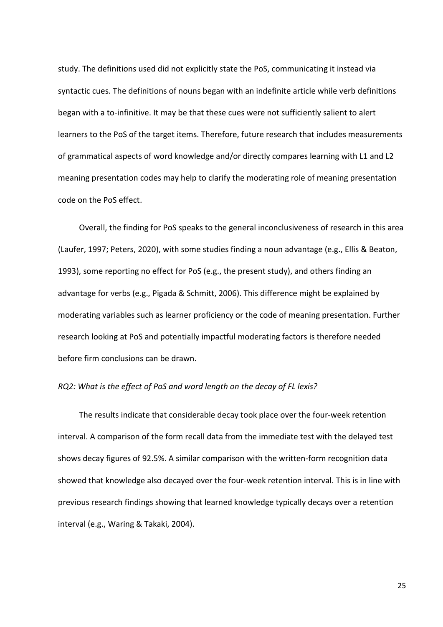study. The definitions used did not explicitly state the PoS, communicating it instead via syntactic cues. The definitions of nouns began with an indefinite article while verb definitions began with a to-infinitive. It may be that these cues were not sufficiently salient to alert learners to the PoS of the target items. Therefore, future research that includes measurements of grammatical aspects of word knowledge and/or directly compares learning with L1 and L2 meaning presentation codes may help to clarify the moderating role of meaning presentation code on the PoS effect.

Overall, the finding for PoS speaks to the general inconclusiveness of research in this area (Laufer, 1997; Peters, 2020), with some studies finding a noun advantage (e.g., Ellis & Beaton, 1993), some reporting no effect for PoS (e.g., the present study), and others finding an advantage for verbs (e.g., Pigada & Schmitt, 2006). This difference might be explained by moderating variables such as learner proficiency or the code of meaning presentation. Further research looking at PoS and potentially impactful moderating factors is therefore needed before firm conclusions can be drawn.

## *RQ2: What is the effect of PoS and word length on the decay of FL lexis?*

The results indicate that considerable decay took place over the four-week retention interval. A comparison of the form recall data from the immediate test with the delayed test shows decay figures of 92.5%. A similar comparison with the written-form recognition data showed that knowledge also decayed over the four-week retention interval. This is in line with previous research findings showing that learned knowledge typically decays over a retention interval (e.g., Waring & Takaki, 2004).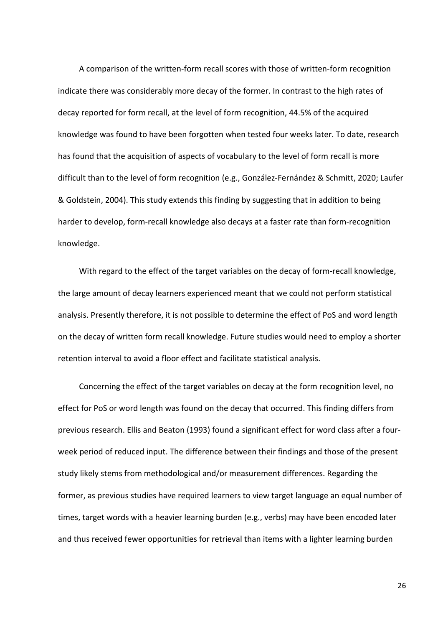A comparison of the written-form recall scores with those of written-form recognition indicate there was considerably more decay of the former. In contrast to the high rates of decay reported for form recall, at the level of form recognition, 44.5% of the acquired knowledge was found to have been forgotten when tested four weeks later. To date, research has found that the acquisition of aspects of vocabulary to the level of form recall is more difficult than to the level of form recognition (e.g., González-Fernández & Schmitt, 2020; Laufer & Goldstein, 2004). This study extends this finding by suggesting that in addition to being harder to develop, form-recall knowledge also decays at a faster rate than form-recognition knowledge.

With regard to the effect of the target variables on the decay of form-recall knowledge, the large amount of decay learners experienced meant that we could not perform statistical analysis. Presently therefore, it is not possible to determine the effect of PoS and word length on the decay of written form recall knowledge. Future studies would need to employ a shorter retention interval to avoid a floor effect and facilitate statistical analysis.

Concerning the effect of the target variables on decay at the form recognition level, no effect for PoS or word length was found on the decay that occurred. This finding differs from previous research. Ellis and Beaton (1993) found a significant effect for word class after a fourweek period of reduced input. The difference between their findings and those of the present study likely stems from methodological and/or measurement differences. Regarding the former, as previous studies have required learners to view target language an equal number of times, target words with a heavier learning burden (e.g., verbs) may have been encoded later and thus received fewer opportunities for retrieval than items with a lighter learning burden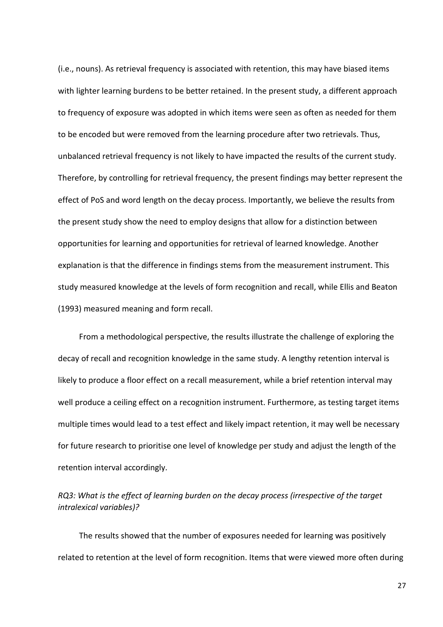(i.e., nouns). As retrieval frequency is associated with retention, this may have biased items with lighter learning burdens to be better retained. In the present study, a different approach to frequency of exposure was adopted in which items were seen as often as needed for them to be encoded but were removed from the learning procedure after two retrievals. Thus, unbalanced retrieval frequency is not likely to have impacted the results of the current study. Therefore, by controlling for retrieval frequency, the present findings may better represent the effect of PoS and word length on the decay process. Importantly, we believe the results from the present study show the need to employ designs that allow for a distinction between opportunities for learning and opportunities for retrieval of learned knowledge. Another explanation is that the difference in findings stems from the measurement instrument. This study measured knowledge at the levels of form recognition and recall, while Ellis and Beaton (1993) measured meaning and form recall.

From a methodological perspective, the results illustrate the challenge of exploring the decay of recall and recognition knowledge in the same study. A lengthy retention interval is likely to produce a floor effect on a recall measurement, while a brief retention interval may well produce a ceiling effect on a recognition instrument. Furthermore, as testing target items multiple times would lead to a test effect and likely impact retention, it may well be necessary for future research to prioritise one level of knowledge per study and adjust the length of the retention interval accordingly.

*RQ3: What is the effect of learning burden on the decay process (irrespective of the target intralexical variables)?*

The results showed that the number of exposures needed for learning was positively related to retention at the level of form recognition. Items that were viewed more often during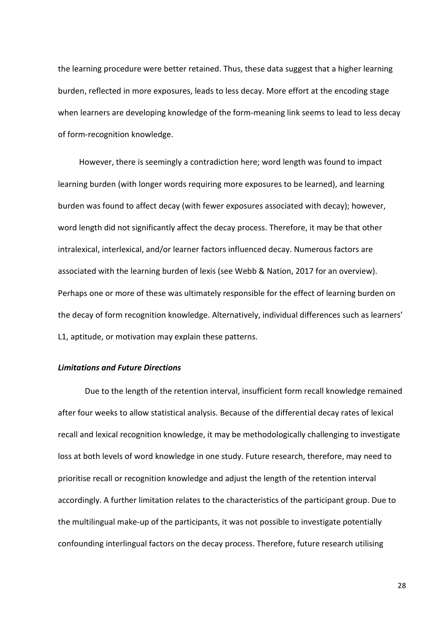the learning procedure were better retained. Thus, these data suggest that a higher learning burden, reflected in more exposures, leads to less decay. More effort at the encoding stage when learners are developing knowledge of the form-meaning link seems to lead to less decay of form-recognition knowledge.

However, there is seemingly a contradiction here; word length was found to impact learning burden (with longer words requiring more exposures to be learned), and learning burden was found to affect decay (with fewer exposures associated with decay); however, word length did not significantly affect the decay process. Therefore, it may be that other intralexical, interlexical, and/or learner factors influenced decay. Numerous factors are associated with the learning burden of lexis (see Webb & Nation, 2017 for an overview). Perhaps one or more of these was ultimately responsible for the effect of learning burden on the decay of form recognition knowledge. Alternatively, individual differences such as learners' L1, aptitude, or motivation may explain these patterns.

## *Limitations and Future Directions*

Due to the length of the retention interval, insufficient form recall knowledge remained after four weeks to allow statistical analysis. Because of the differential decay rates of lexical recall and lexical recognition knowledge, it may be methodologically challenging to investigate loss at both levels of word knowledge in one study. Future research, therefore, may need to prioritise recall or recognition knowledge and adjust the length of the retention interval accordingly. A further limitation relates to the characteristics of the participant group. Due to the multilingual make-up of the participants, it was not possible to investigate potentially confounding interlingual factors on the decay process. Therefore, future research utilising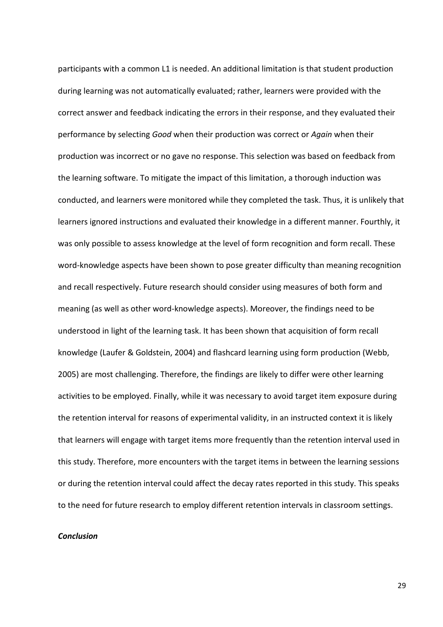participants with a common L1 is needed. An additional limitation is that student production during learning was not automatically evaluated; rather, learners were provided with the correct answer and feedback indicating the errors in their response, and they evaluated their performance by selecting *Good* when their production was correct or *Again* when their production was incorrect or no gave no response. This selection was based on feedback from the learning software. To mitigate the impact of this limitation, a thorough induction was conducted, and learners were monitored while they completed the task. Thus, it is unlikely that learners ignored instructions and evaluated their knowledge in a different manner. Fourthly, it was only possible to assess knowledge at the level of form recognition and form recall. These word-knowledge aspects have been shown to pose greater difficulty than meaning recognition and recall respectively. Future research should consider using measures of both form and meaning (as well as other word-knowledge aspects). Moreover, the findings need to be understood in light of the learning task. It has been shown that acquisition of form recall knowledge (Laufer & Goldstein, 2004) and flashcard learning using form production (Webb, 2005) are most challenging. Therefore, the findings are likely to differ were other learning activities to be employed. Finally, while it was necessary to avoid target item exposure during the retention interval for reasons of experimental validity, in an instructed context it is likely that learners will engage with target items more frequently than the retention interval used in this study. Therefore, more encounters with the target items in between the learning sessions or during the retention interval could affect the decay rates reported in this study. This speaks to the need for future research to employ different retention intervals in classroom settings.

## *Conclusion*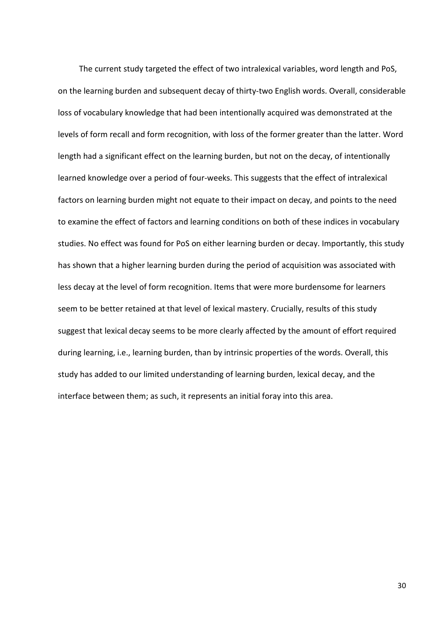The current study targeted the effect of two intralexical variables, word length and PoS, on the learning burden and subsequent decay of thirty-two English words. Overall, considerable loss of vocabulary knowledge that had been intentionally acquired was demonstrated at the levels of form recall and form recognition, with loss of the former greater than the latter. Word length had a significant effect on the learning burden, but not on the decay, of intentionally learned knowledge over a period of four-weeks. This suggests that the effect of intralexical factors on learning burden might not equate to their impact on decay, and points to the need to examine the effect of factors and learning conditions on both of these indices in vocabulary studies. No effect was found for PoS on either learning burden or decay. Importantly, this study has shown that a higher learning burden during the period of acquisition was associated with less decay at the level of form recognition. Items that were more burdensome for learners seem to be better retained at that level of lexical mastery. Crucially, results of this study suggest that lexical decay seems to be more clearly affected by the amount of effort required during learning, i.e., learning burden, than by intrinsic properties of the words. Overall, this study has added to our limited understanding of learning burden, lexical decay, and the interface between them; as such, it represents an initial foray into this area.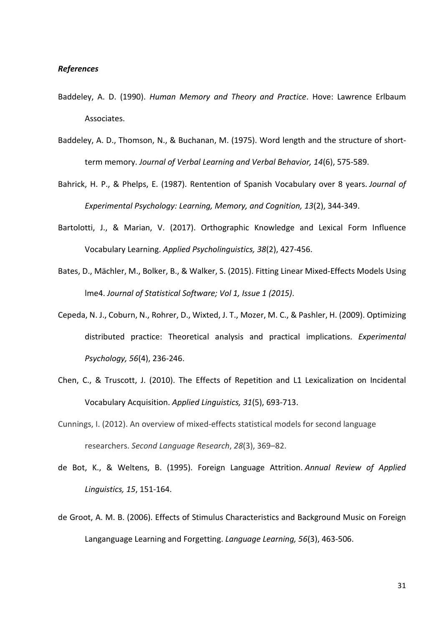## *References*

- Baddeley, A. D. (1990). *Human Memory and Theory and Practice*. Hove: Lawrence Erlbaum Associates.
- Baddeley, A. D., Thomson, N., & Buchanan, M. (1975). Word length and the structure of shortterm memory. *Journal of Verbal Learning and Verbal Behavior, 14*(6), 575-589.
- Bahrick, H. P., & Phelps, E. (1987). Rentention of Spanish Vocabulary over 8 years. *Journal of Experimental Psychology: Learning, Memory, and Cognition, 13*(2), 344-349.
- Bartolotti, J., & Marian, V. (2017). Orthographic Knowledge and Lexical Form Influence Vocabulary Learning. *Applied Psycholinguistics, 38*(2), 427-456.
- Bates, D., Mächler, M., Bolker, B., & Walker, S. (2015). Fitting Linear Mixed-Effects Models Using lme4. *Journal of Statistical Software; Vol 1, Issue 1 (2015)*.
- Cepeda, N. J., Coburn, N., Rohrer, D., Wixted, J. T., Mozer, M. C., & Pashler, H. (2009). Optimizing distributed practice: Theoretical analysis and practical implications. *Experimental Psychology, 56*(4), 236-246.
- Chen, C., & Truscott, J. (2010). The Effects of Repetition and L1 Lexicalization on Incidental Vocabulary Acquisition. *Applied Linguistics, 31*(5), 693-713.
- Cunnings, I. (2012). An overview of mixed-effects statistical models for second language researchers. *Second Language Research*, *28*(3), 369–82.
- de Bot, K., & Weltens, B. (1995). Foreign Language Attrition. *Annual Review of Applied Linguistics, 15*, 151-164.
- de Groot, A. M. B. (2006). Effects of Stimulus Characteristics and Background Music on Foreign Langanguage Learning and Forgetting. *Language Learning, 56*(3), 463-506.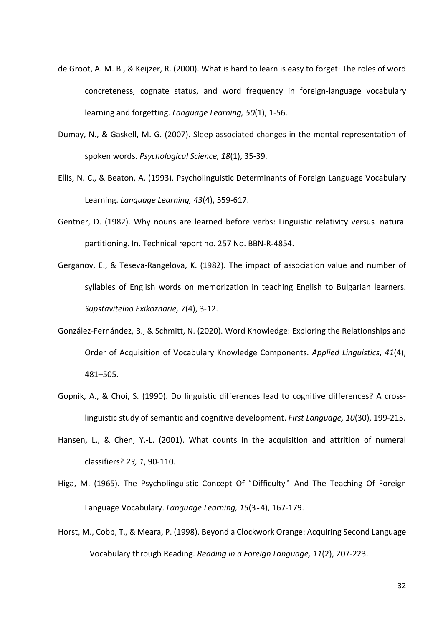- de Groot, A. M. B., & Keijzer, R. (2000). What is hard to learn is easy to forget: The roles of word concreteness, cognate status, and word frequency in foreign-language vocabulary learning and forgetting. *Language Learning, 50*(1), 1-56.
- Dumay, N., & Gaskell, M. G. (2007). Sleep-associated changes in the mental representation of spoken words. *Psychological Science, 18*(1), 35-39.
- Ellis, N. C., & Beaton, A. (1993). Psycholinguistic Determinants of Foreign Language Vocabulary Learning. *Language Learning, 43*(4), 559-617.
- Gentner, D. (1982). Why nouns are learned before verbs: Linguistic relativity versus natural partitioning. In. Technical report no. 257 No. BBN-R-4854.
- Gerganov, E., & Teseva-Rangelova, K. (1982). The impact of association value and number of syllables of English words on memorization in teaching English to Bulgarian learners. *Supstavitelno Exikoznarie, 7*(4), 3-12.
- González-Fernández, B., & Schmitt, N. (2020). Word Knowledge: Exploring the Relationships and Order of Acquisition of Vocabulary Knowledge Components. *Applied Linguistics*, *41*(4), 481–505.
- Gopnik, A., & Choi, S. (1990). Do linguistic differences lead to cognitive differences? A crosslinguistic study of semantic and cognitive development. *First Language, 10*(30), 199-215.
- Hansen, L., & Chen, Y.-L. (2001). What counts in the acquisition and attrition of numeral classifiers? *23, 1*, 90-110.
- Higa, M. (1965). The Psycholinguistic Concept Of "Difficulty" And The Teaching Of Foreign Language Vocabulary. *Language Learning, 15*(3‐4), 167-179.
- Horst, M., Cobb, T., & Meara, P. (1998). Beyond a Clockwork Orange: Acquiring Second Language Vocabulary through Reading. *Reading in a Foreign Language, 11*(2), 207-223.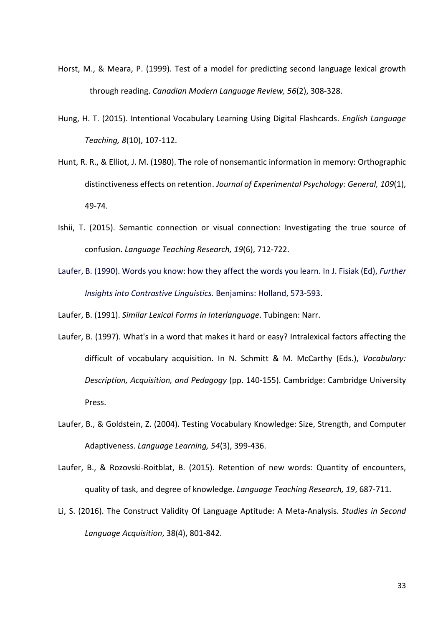- Horst, M., & Meara, P. (1999). Test of a model for predicting second language lexical growth through reading. *Canadian Modern Language Review, 56*(2), 308-328.
- Hung, H. T. (2015). Intentional Vocabulary Learning Using Digital Flashcards. *English Language Teaching, 8*(10), 107-112.
- Hunt, R. R., & Elliot, J. M. (1980). The role of nonsemantic information in memory: Orthographic distinctiveness effects on retention. *Journal of Experimental Psychology: General, 109*(1), 49-74.
- Ishii, T. (2015). Semantic connection or visual connection: Investigating the true source of confusion. *Language Teaching Research, 19*(6), 712-722.
- Laufer, B. (1990). Words you know: how they affect the words you learn. In J. Fisiak (Ed), *Further Insights into Contrastive Linguistics.* Benjamins: Holland, 573-593.

Laufer, B. (1991). *Similar Lexical Forms in Interlanguage*. Tubingen: Narr.

- Laufer, B. (1997). What's in a word that makes it hard or easy? Intralexical factors affecting the difficult of vocabulary acquisition. In N. Schmitt & M. McCarthy (Eds.), *Vocabulary: Description, Acquisition, and Pedagogy* (pp. 140-155). Cambridge: Cambridge University Press.
- Laufer, B., & Goldstein, Z. (2004). Testing Vocabulary Knowledge: Size, Strength, and Computer Adaptiveness. *Language Learning, 54*(3), 399-436.
- Laufer, B., & Rozovski-Roitblat, B. (2015). Retention of new words: Quantity of encounters, quality of task, and degree of knowledge. *Language Teaching Research, 19*, 687-711.
- Li, S. (2016). The Construct Validity Of Language Aptitude: A Meta-Analysis. *Studies in Second Language Acquisition*, 38(4), 801-842.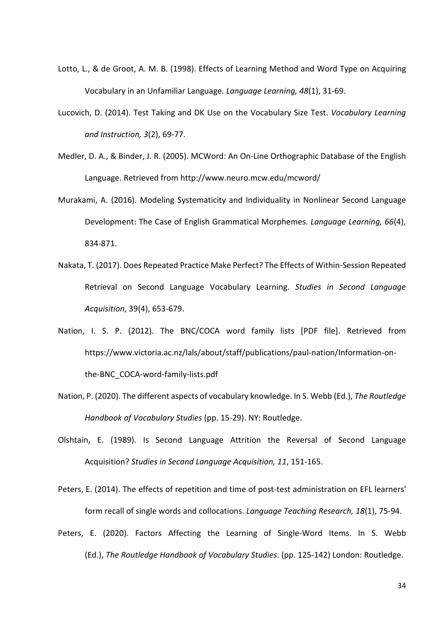- Lotto, L., & de Groot, A. M. B. (1998). Effects of Learning Method and Word Type on Acquiring Vocabulary in an Unfamiliar Language. *Language Learning, 48*(1), 31-69.
- Lucovich, D. (2014). Test Taking and DK Use on the Vocabulary Size Test. *Vocabulary Learning and Instruction, 3*(2), 69-77.
- Medler, D. A., & Binder, J. R. (2005). MCWord: An On-Line Orthographic Database of the English Language. Retrieved from http://www.neuro.mcw.edu/mcword/
- Murakami, A. (2016). Modeling Systematicity and Individuality in Nonlinear Second Language Development: The Case of English Grammatical Morphemes. *Language Learning, 66*(4), 834-871.
- Nakata, T. (2017). Does Repeated Practice Make Perfect? The Effects of Within-Session Repeated Retrieval on Second Language Vocabulary Learning. *Studies in Second Language Acquisition*, 39(4), 653-679.
- Nation, I. S. P. (2012). The BNC/COCA word family lists [PDF file]. Retrieved from https://www.victoria.ac.nz/lals/about/staff/publications/paul-nation/Information-onthe-BNC\_COCA-word-family-lists.pdf
- Nation, P. (2020). The different aspects of vocabulary knowledge. In S. Webb (Ed.), *The Routledge Handbook of Vocabulary Studies* (pp. 15-29). NY: Routledge.
- Olshtain, E. (1989). Is Second Language Attrition the Reversal of Second Language Acquisition? *Studies in Second Language Acquisition, 11*, 151-165.

Peters, E. (2014). The effects of repetition and time of post-test administration on EFL learners' form recall of single words and collocations. *Language Teaching Research, 18*(1), 75-94.

Peters, E. (2020). Factors Affecting the Learning of Single-Word Items. In S. Webb (Ed.), *The Routledge Handbook of Vocabulary Studies*. (pp. 125-142) London: Routledge.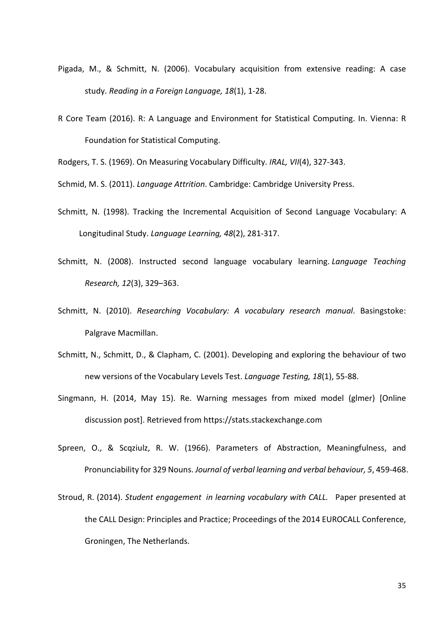- Pigada, M., & Schmitt, N. (2006). Vocabulary acquisition from extensive reading: A case study. *Reading in a Foreign Language, 18*(1), 1-28.
- R Core Team (2016). R: A Language and Environment for Statistical Computing. In. Vienna: R Foundation for Statistical Computing.

Rodgers, T. S. (1969). On Measuring Vocabulary Difficulty. *IRAL, VII*(4), 327-343.

Schmid, M. S. (2011). *Language Attrition*. Cambridge: Cambridge University Press.

- Schmitt, N. (1998). Tracking the Incremental Acquisition of Second Language Vocabulary: A Longitudinal Study. *Language Learning, 48*(2), 281-317.
- Schmitt, N. (2008). Instructed second language vocabulary learning. *Language Teaching Research, 12*(3), 329–363.
- Schmitt, N. (2010). *Researching Vocabulary: A vocabulary research manual*. Basingstoke: Palgrave Macmillan.
- Schmitt, N., Schmitt, D., & Clapham, C. (2001). Developing and exploring the behaviour of two new versions of the Vocabulary Levels Test. *Language Testing, 18*(1), 55-88.
- Singmann, H. (2014, May 15). Re. Warning messages from mixed model (glmer) [Online discussion post]. Retrieved from https://stats.stackexchange.com
- Spreen, O., & Scqziulz, R. W. (1966). Parameters of Abstraction, Meaningfulness, and Pronunciability for 329 Nouns. *Journal of verbal learning and verbal behaviour, 5*, 459-468.
- Stroud, R. (2014). *Student engagement in learning vocabulary with CALL.* Paper presented at the CALL Design: Principles and Practice; Proceedings of the 2014 EUROCALL Conference, Groningen, The Netherlands.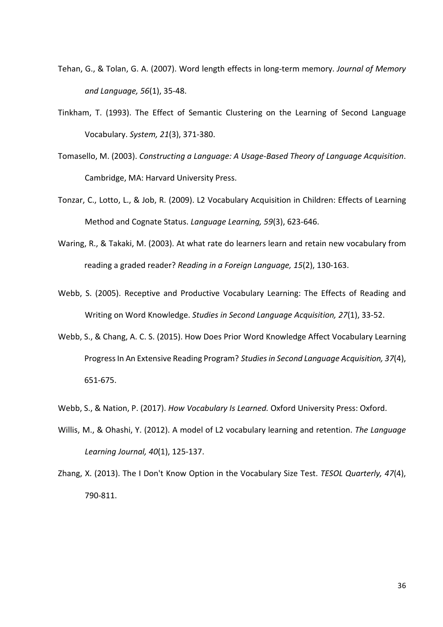- Tehan, G., & Tolan, G. A. (2007). Word length effects in long-term memory. *Journal of Memory and Language, 56*(1), 35-48.
- Tinkham, T. (1993). The Effect of Semantic Clustering on the Learning of Second Language Vocabulary. *System, 21*(3), 371-380.
- Tomasello, M. (2003). *Constructing a Language: A Usage-Based Theory of Language Acquisition*. Cambridge, MA: Harvard University Press.
- Tonzar, C., Lotto, L., & Job, R. (2009). L2 Vocabulary Acquisition in Children: Effects of Learning Method and Cognate Status. *Language Learning, 59*(3), 623-646.
- Waring, R., & Takaki, M. (2003). At what rate do learners learn and retain new vocabulary from reading a graded reader? *Reading in a Foreign Language, 15*(2), 130-163.
- Webb, S. (2005). Receptive and Productive Vocabulary Learning: The Effects of Reading and Writing on Word Knowledge. *Studies in Second Language Acquisition, 27*(1), 33-52.
- Webb, S., & Chang, A. C. S. (2015). How Does Prior Word Knowledge Affect Vocabulary Learning Progress In An Extensive Reading Program? *Studies in Second Language Acquisition, 37*(4), 651-675.
- Webb, S., & Nation, P. (2017). *How Vocabulary Is Learned.* Oxford University Press: Oxford.
- Willis, M., & Ohashi, Y. (2012). A model of L2 vocabulary learning and retention. *The Language Learning Journal, 40*(1), 125-137.
- Zhang, X. (2013). The I Don't Know Option in the Vocabulary Size Test. *TESOL Quarterly, 47*(4), 790-811.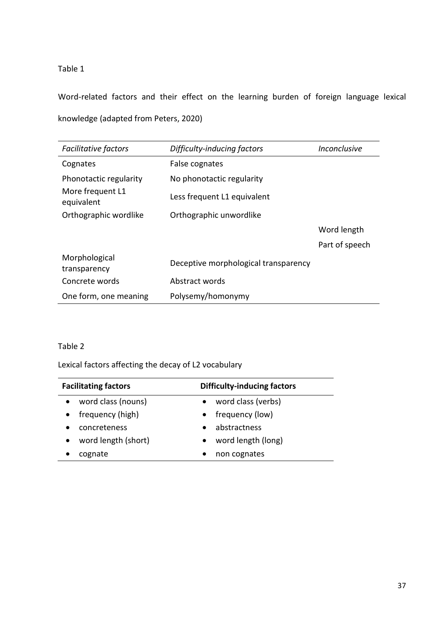Table 1

Word-related factors and their effect on the learning burden of foreign language lexical knowledge (adapted from Peters, 2020)

| <b>Facilitative factors</b>    | Difficulty-inducing factors<br>Inconclusive |                |
|--------------------------------|---------------------------------------------|----------------|
| Cognates                       | False cognates                              |                |
| Phonotactic regularity         | No phonotactic regularity                   |                |
| More frequent L1<br>equivalent | Less frequent L1 equivalent                 |                |
| Orthographic wordlike          | Orthographic unwordlike                     |                |
|                                |                                             | Word length    |
|                                |                                             | Part of speech |
| Morphological<br>transparency  | Deceptive morphological transparency        |                |
| Concrete words                 | Abstract words                              |                |
| One form, one meaning          | Polysemy/homonymy                           |                |

# Table 2

Lexical factors affecting the decay of L2 vocabulary

| <b>Facilitating factors</b> | <b>Difficulty-inducing factors</b> |
|-----------------------------|------------------------------------|
| word class (nouns)          | word class (verbs)<br>$\bullet$    |
| frequency (high)            | frequency (low)                    |
| concreteness                | abstractness                       |
| word length (short)         | word length (long)                 |
| cognate                     | non cognates                       |
|                             |                                    |

 $\mathbb{R}^2$ 

÷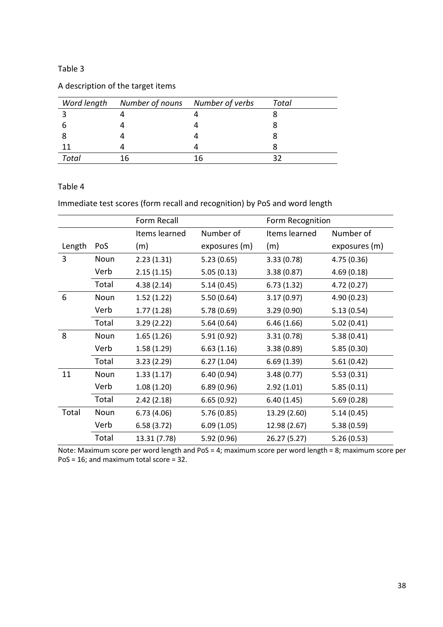## Table 3

|  | A description of the target items |  |  |  |
|--|-----------------------------------|--|--|--|
|--|-----------------------------------|--|--|--|

|       | Word length Number of nouns Number of verbs |    | Total |
|-------|---------------------------------------------|----|-------|
|       |                                             |    |       |
|       |                                             |    |       |
|       |                                             |    |       |
|       |                                             |    |       |
| Total | 16                                          | 16 |       |

# Table 4

Immediate test scores (form recall and recognition) by PoS and word length

|        |       | Form Recall   |               | Form Recognition |               |
|--------|-------|---------------|---------------|------------------|---------------|
|        |       | Items learned | Number of     | Items learned    | Number of     |
| Length | PoS   | (m)           | exposures (m) | (m)              | exposures (m) |
| 3      | Noun  | 2.23(1.31)    | 5.23(0.65)    | 3.33(0.78)       | 4.75 (0.36)   |
|        | Verb  | 2.15(1.15)    | 5.05(0.13)    | 3.38(0.87)       | 4.69(0.18)    |
|        | Total | 4.38(2.14)    | 5.14(0.45)    | 6.73(1.32)       | 4.72 (0.27)   |
| 6      | Noun  | 1.52(1.22)    | 5.50(0.64)    | 3.17(0.97)       | 4.90 (0.23)   |
|        | Verb  | 1.77(1.28)    | 5.78(0.69)    | 3.29(0.90)       | 5.13(0.54)    |
|        | Total | 3.29(2.22)    | 5.64(0.64)    | 6.46(1.66)       | 5.02(0.41)    |
| 8      | Noun  | 1.65(1.26)    | 5.91(0.92)    | 3.31(0.78)       | 5.38(0.41)    |
|        | Verb  | 1.58(1.29)    | 6.63(1.16)    | 3.38(0.89)       | 5.85(0.30)    |
|        | Total | 3.23(2.29)    | 6.27(1.04)    | 6.69(1.39)       | 5.61(0.42)    |
| 11     | Noun  | 1.33(1.17)    | 6.40(0.94)    | 3.48(0.77)       | 5.53(0.31)    |
|        | Verb  | 1.08(1.20)    | 6.89(0.96)    | 2.92(1.01)       | 5.85(0.11)    |
|        | Total | 2.42(2.18)    | 6.65(0.92)    | 6.40(1.45)       | 5.69(0.28)    |
| Total  | Noun  | 6.73(4.06)    | 5.76(0.85)    | 13.29 (2.60)     | 5.14(0.45)    |
|        | Verb  | 6.58(3.72)    | 6.09(1.05)    | 12.98 (2.67)     | 5.38(0.59)    |
|        | Total | 13.31 (7.78)  | 5.92 (0.96)   | 26.27 (5.27)     | 5.26(0.53)    |

Note: Maximum score per word length and PoS = 4; maximum score per word length = 8; maximum score per PoS = 16; and maximum total score = 32.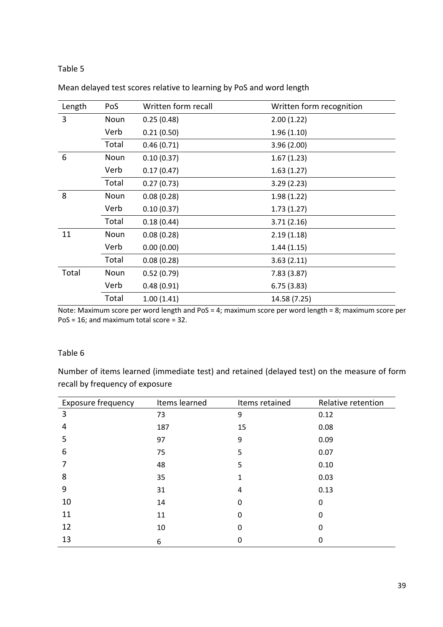## Table 5

| Length | PoS   | Written form recall | Written form recognition |
|--------|-------|---------------------|--------------------------|
| 3      | Noun  | 0.25(0.48)          | 2.00(1.22)               |
|        | Verb  | 0.21(0.50)          | 1.96(1.10)               |
|        | Total | 0.46(0.71)          | 3.96(2.00)               |
| 6      | Noun  | 0.10(0.37)          | 1.67(1.23)               |
|        | Verb  | 0.17(0.47)          | 1.63(1.27)               |
|        | Total | 0.27(0.73)          | 3.29(2.23)               |
| 8      | Noun  | 0.08(0.28)          | 1.98(1.22)               |
|        | Verb  | 0.10(0.37)          | 1.73(1.27)               |
|        | Total | 0.18(0.44)          | 3.71(2.16)               |
| 11     | Noun  | 0.08(0.28)          | 2.19(1.18)               |
|        | Verb  | 0.00(0.00)          | 1.44(1.15)               |
|        | Total | 0.08(0.28)          | 3.63(2.11)               |
| Total  | Noun  | 0.52(0.79)          | 7.83(3.87)               |
|        | Verb  | 0.48(0.91)          | 6.75(3.83)               |
|        | Total | 1.00(1.41)          | 14.58 (7.25)             |

## Mean delayed test scores relative to learning by PoS and word length

Note: Maximum score per word length and PoS = 4; maximum score per word length = 8; maximum score per PoS = 16; and maximum total score = 32.

## Table 6

Number of items learned (immediate test) and retained (delayed test) on the measure of form recall by frequency of exposure

| Exposure frequency | Items learned | Items retained | Relative retention |
|--------------------|---------------|----------------|--------------------|
| 3                  | 73            | 9              | 0.12               |
| 4                  | 187           | 15             | 0.08               |
| 5                  | 97            | 9              | 0.09               |
| 6                  | 75            | 5              | 0.07               |
|                    | 48            | 5              | 0.10               |
| 8                  | 35            |                | 0.03               |
| 9                  | 31            | 4              | 0.13               |
| 10                 | 14            | 0              | 0                  |
| 11                 | 11            | 0              | 0                  |
| 12                 | 10            | 0              | O                  |
| 13                 | 6             | 0              | O                  |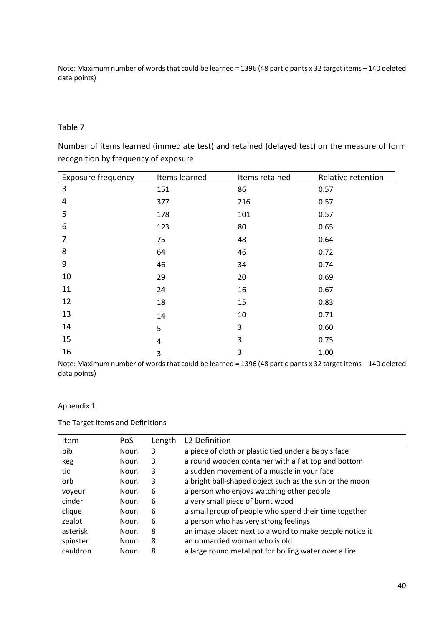Note: Maximum number of words that could be learned = 1396 (48 participants x 32 target items – 140 deleted data points)

## Table 7

Number of items learned (immediate test) and retained (delayed test) on the measure of form recognition by frequency of exposure

| <b>Exposure frequency</b> | Items learned | Items retained | Relative retention |
|---------------------------|---------------|----------------|--------------------|
| 3                         | 151           | 86             | 0.57               |
| 4                         | 377           | 216            | 0.57               |
| 5                         | 178           | 101            | 0.57               |
| 6                         | 123           | 80             | 0.65               |
| 7                         | 75            | 48             | 0.64               |
| 8                         | 64            | 46             | 0.72               |
| 9                         | 46            | 34             | 0.74               |
| 10                        | 29            | 20             | 0.69               |
| 11                        | 24            | 16             | 0.67               |
| 12                        | 18            | 15             | 0.83               |
| 13                        | 14            | 10             | 0.71               |
| 14                        | 5             | 3              | 0.60               |
| 15                        | 4             | 3              | 0.75               |
| 16                        | 3             | 3              | 1.00               |

Note: Maximum number of words that could be learned = 1396 (48 participants x 32 target items – 140 deleted data points)

## Appendix 1

The Target items and Definitions

| Item     | PoS         | Length | L2 Definition                                           |
|----------|-------------|--------|---------------------------------------------------------|
| bib      | Noun        | 3      | a piece of cloth or plastic tied under a baby's face    |
| keg      | Noun        | 3      | a round wooden container with a flat top and bottom     |
| tic      | <b>Noun</b> | 3      | a sudden movement of a muscle in your face              |
| orb      | <b>Noun</b> | 3      | a bright ball-shaped object such as the sun or the moon |
| voyeur   | <b>Noun</b> | 6      | a person who enjoys watching other people               |
| cinder   | <b>Noun</b> | 6      | a very small piece of burnt wood                        |
| clique   | <b>Noun</b> | 6      | a small group of people who spend their time together   |
| zealot   | <b>Noun</b> | 6      | a person who has very strong feelings                   |
| asterisk | Noun        | 8      | an image placed next to a word to make people notice it |
| spinster | <b>Noun</b> | 8      | an unmarried woman who is old                           |
| cauldron | Noun        | 8      | a large round metal pot for boiling water over a fire   |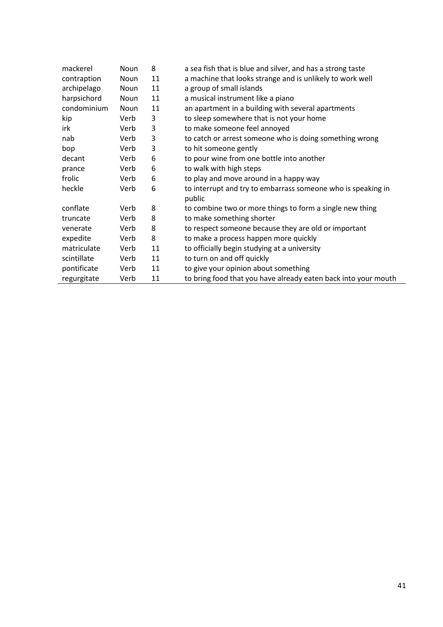| mackerel    | <b>Noun</b> | 8  | a sea fish that is blue and silver, and has a strong taste             |
|-------------|-------------|----|------------------------------------------------------------------------|
| contraption | Noun        | 11 | a machine that looks strange and is unlikely to work well              |
| archipelago | Noun        | 11 | a group of small islands                                               |
| harpsichord | Noun        | 11 | a musical instrument like a piano                                      |
| condominium | Noun        | 11 | an apartment in a building with several apartments                     |
| kip         | Verb        | 3  | to sleep somewhere that is not your home                               |
| irk         | Verb        | 3  | to make someone feel annoyed                                           |
| nab         | Verb        | 3  | to catch or arrest someone who is doing something wrong                |
| bop         | Verb        | 3  | to hit someone gently                                                  |
| decant      | Verb        | 6  | to pour wine from one bottle into another                              |
| prance      | Verb        | 6  | to walk with high steps                                                |
| frolic      | Verb        | 6  | to play and move around in a happy way                                 |
| heckle      | Verb        | 6  | to interrupt and try to embarrass someone who is speaking in<br>public |
| conflate    | Verb        | 8  | to combine two or more things to form a single new thing               |
| truncate    | Verb        | 8  | to make something shorter                                              |
| venerate    | Verb        | 8  | to respect someone because they are old or important                   |
| expedite    | Verb        | 8  | to make a process happen more quickly                                  |
| matriculate | Verb        | 11 | to officially begin studying at a university                           |
| scintillate | Verb        | 11 | to turn on and off quickly                                             |
| pontificate | Verb        | 11 | to give your opinion about something                                   |
| regurgitate | Verb        | 11 | to bring food that you have already eaten back into your mouth         |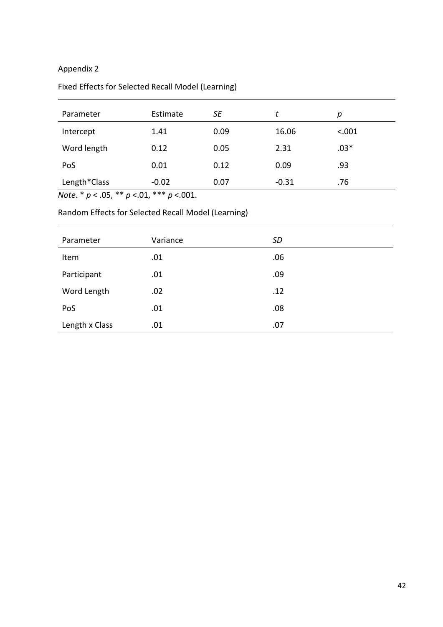# Appendix 2

# Fixed Effects for Selected Recall Model (Learning)

| Parameter    | Estimate | <b>SE</b> | t       | р      |
|--------------|----------|-----------|---------|--------|
| Intercept    | 1.41     | 0.09      | 16.06   | < .001 |
| Word length  | 0.12     | 0.05      | 2.31    | $.03*$ |
| PoS          | 0.01     | 0.12      | 0.09    | .93    |
| Length*Class | $-0.02$  | 0.07      | $-0.31$ | .76    |

*Note*. \* *p* < .05, \*\* *p* <.01, \*\*\* *p* <.001.

Random Effects for Selected Recall Model (Learning)

| Parameter      | Variance | <b>SD</b> |
|----------------|----------|-----------|
| Item           | .01      | .06       |
| Participant    | .01      | .09       |
| Word Length    | .02      | .12       |
| PoS            | .01      | .08       |
| Length x Class | .01      | .07       |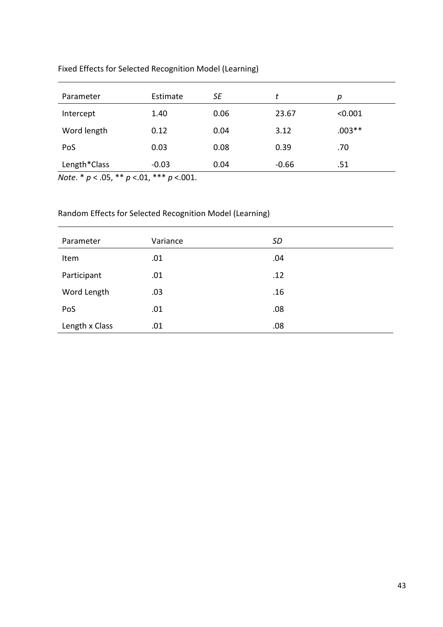| Fixed Effects for Selected Recognition Model (Learning) |  |  |
|---------------------------------------------------------|--|--|
|---------------------------------------------------------|--|--|

| Parameter                                          | Estimate                                             | SE   | t       | р        |  |
|----------------------------------------------------|------------------------------------------------------|------|---------|----------|--|
| Intercept                                          | 1.40                                                 | 0.06 | 23.67   | < 0.001  |  |
| Word length                                        | 0.12                                                 | 0.04 | 3.12    | $.003**$ |  |
| PoS                                                | 0.03                                                 | 0.08 | 0.39    | .70      |  |
| Length*Class                                       | $-0.03$                                              | 0.04 | $-0.66$ | .51      |  |
| مله مله<br>مله<br>$\sim$ $\sim$ $\sim$<br>$\cdots$ | مله مله مله<br>$\sim$ $\sim$<br>$\sim$ $\sim$ $\sim$ |      |         |          |  |

*Note*. \* *p* < .05, \*\* *p* <.01, \*\*\* *p* <.001.

# Random Effects for Selected Recognition Model (Learning)

| Parameter      | Variance | <b>SD</b> |
|----------------|----------|-----------|
| Item           | .01      | .04       |
| Participant    | .01      | .12       |
| Word Length    | .03      | .16       |
| PoS            | .01      | .08       |
| Length x Class | .01      | .08       |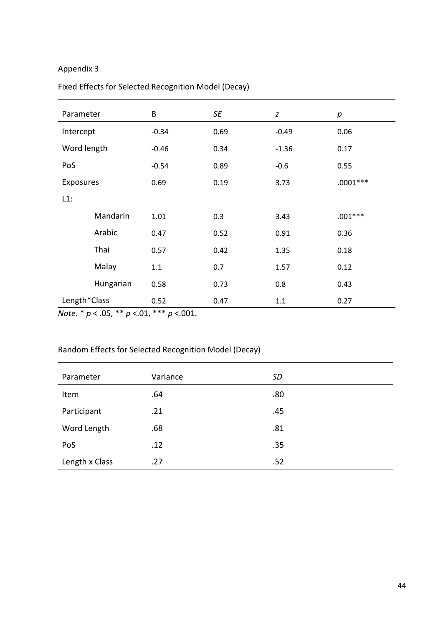# Appendix 3

# Fixed Effects for Selected Recognition Model (Decay)

| Parameter    |           | B       | SE   | Z       | $\boldsymbol{p}$ |
|--------------|-----------|---------|------|---------|------------------|
| Intercept    |           | $-0.34$ | 0.69 | $-0.49$ | 0.06             |
| Word length  |           | $-0.46$ | 0.34 | $-1.36$ | 0.17             |
| PoS          |           | $-0.54$ | 0.89 | $-0.6$  | 0.55             |
| Exposures    |           | 0.69    | 0.19 | 3.73    | $.0001***$       |
| $L1$ :       |           |         |      |         |                  |
|              | Mandarin  | 1.01    | 0.3  | 3.43    | $.001***$        |
|              | Arabic    | 0.47    | 0.52 | 0.91    | 0.36             |
|              | Thai      | 0.57    | 0.42 | 1.35    | 0.18             |
|              | Malay     | 1.1     | 0.7  | 1.57    | 0.12             |
|              | Hungarian | 0.58    | 0.73 | 0.8     | 0.43             |
| Length*Class |           | 0.52    | 0.47 | 1.1     | 0.27             |

*Note*. \* *p* < .05, \*\* *p* <.01, \*\*\* *p* <.001.

# Random Effects for Selected Recognition Model (Decay)

| Parameter      | Variance | <b>SD</b> |
|----------------|----------|-----------|
| Item           | .64      | .80       |
| Participant    | .21      | .45       |
| Word Length    | .68      | .81       |
| PoS            | .12      | .35       |
| Length x Class | .27      | .52       |